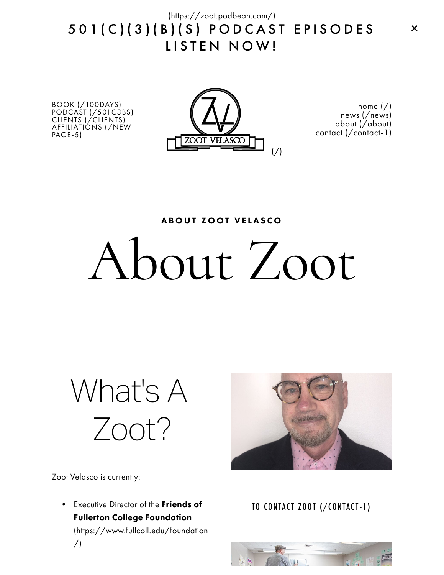5 0 1 ( C ) ( 3 ) ( B ) ( S ) P O D C A S T E P I S O D E S LISTEN NOW! [\(https://zoot.podbean.com/\)](https://zoot.podbean.com/)

BOOK [\(/100DAYS\)](http://www.zootvelasco.com/100days) PODCAST [\(/501C3BS\)](http://www.zootvelasco.com/501c3bs) CLIENTS [\(/CLIENTS\)](http://www.zootvelasco.com/clients) [AFFILIATIONS](http://www.zootvelasco.com/new-page-5) (/NEW-PAGE-5)



[home](http://www.zootvelasco.com/)  $\binom{7}{1}$ news [\(/news\)](http://www.zootvelasco.com/news) about [\(/about\)](http://www.zootvelasco.com/about) contact [\(/contact-1\)](http://www.zootvelasco.com/contact-1)

A BOUT ZOOT VELASCO

## About Zoot

What's A Zoot?



Zoot Velasco is currently:

• Executive Director of the Friends of Fullerton College Foundation [\(https://www.fullcoll.edu/foundation](https://www.fullcoll.edu/foundation/) /)

TO CONTACT ZOOT [\(/CONTACT-1\)](http://www.zootvelasco.com/contact-1)

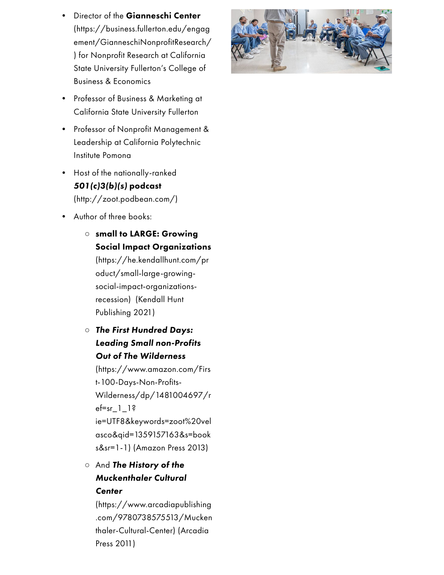- **Director of the Gianneschi Center** (https://business.fullerton.edu/engag [ement/GianneschiNonprofitResearch/](https://business.fullerton.edu/engagement/GianneschiNonprofitResearch/) ) for Nonprofit Research at California State University Fullerton's College of Business & Economics
- Professor of Business & Marketing at California State University Fullerton
- Professor of Nonprofit Management & Leadership at California Polytechnic Institute Pomona
- Host of the nationally-ranked 501(c)3(b)(s) podcast [\(http://zoot.podbean.com/\)](http://zoot.podbean.com/)
- Author of three books:

○ small to LARGE: Growing Social Impact Organizations [\(https://he.kendallhunt.com/pr](https://he.kendallhunt.com/product/small-large-growing-social-impact-organizations-recession) oduct/small-large-growingsocial-impact-organizationsrecession) (Kendall Hunt Publishing 2021)

○ The First Hundred Days: Leading Small non-Profits Out of The Wilderness

(https://www.amazon.com/Firs t-100-Days-Non-Profits-Wilderness/dp/1481004697/r ef=sr $1$ ]? [ie=UTF8&keywords=zoot%20vel](https://www.amazon.com/First-100-Days-Non-Profits-Wilderness/dp/1481004697/ref=sr_1_1?ie=UTF8&keywords=zoot%20velasco&qid=1359157163&s=books&sr=1-1) asco&qid=1359157163&s=book s&sr=1-1) (Amazon Press 2013)

○ And The History of the Muckenthaler Cultural **Center** 

(https://www.arcadiapublishing [.com/9780738575513/Mucken](https://www.arcadiapublishing.com/9780738575513/Muckenthaler-Cultural-Center) thaler-Cultural-Center) (Arcadia Press 2011)

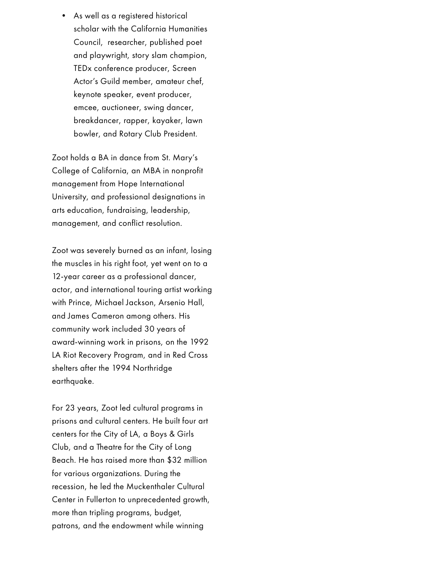• As well as a registered historical scholar with the California Humanities Council, researcher, published poet and playwright, story slam champion, TEDx conference producer, Screen Actor's Guild member, amateur chef, keynote speaker, event producer, emcee, auctioneer, swing dancer, breakdancer, rapper, kayaker, lawn bowler, and Rotary Club President.

Zoot holds a BA in dance from St. Mary's College of California, an MBA in nonprofit management from Hope International University, and professional designations in arts education, fundraising, leadership, management, and conflict resolution.

Zoot was severely burned as an infant, losing the muscles in his right foot, yet went on to a 12-year career as a professional dancer, actor, and international touring artist working with Prince, Michael Jackson, Arsenio Hall, and James Cameron among others. His community work included 30 years of award-winning work in prisons, on the 1992 LA Riot Recovery Program, and in Red Cross shelters after the 1994 Northridge earthquake.

For 23 years, Zoot led cultural programs in prisons and cultural centers. He built four art centers for the City of LA, a Boys & Girls Club, and a Theatre for the City of Long Beach. He has raised more than \$32 million for various organizations. During the recession, he led the Muckenthaler Cultural Center in Fullerton to unprecedented growth, more than tripling programs, budget, patrons, and the endowment while winning